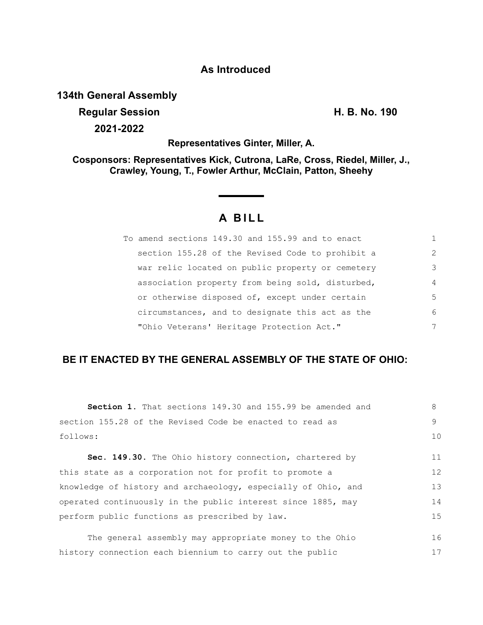## **As Introduced**

**134th General Assembly**

**Regular Session H. B. No. 190 2021-2022**

**Representatives Ginter, Miller, A.**

**Cosponsors: Representatives Kick, Cutrona, LaRe, Cross, Riedel, Miller, J., Crawley, Young, T., Fowler Arthur, McClain, Patton, Sheehy**

# **A BILL**

| To amend sections 149.30 and 155.99 and to enact |               |
|--------------------------------------------------|---------------|
| section 155.28 of the Revised Code to prohibit a | $\mathcal{L}$ |
| war relic located on public property or cemetery | 3             |
| association property from being sold, disturbed, | 4             |
| or otherwise disposed of, except under certain   | .5            |
| circumstances, and to designate this act as the  | 6             |
| "Ohio Veterans' Heritage Protection Act."        |               |

## **BE IT ENACTED BY THE GENERAL ASSEMBLY OF THE STATE OF OHIO:**

| <b>Section 1.</b> That sections 149.30 and 155.99 be amended and | 8            |
|------------------------------------------------------------------|--------------|
| section 155.28 of the Revised Code be enacted to read as         | $\mathsf{Q}$ |
| follows:                                                         | 10           |
| Sec. 149.30. The Ohio history connection, chartered by           | 11           |
| this state as a corporation not for profit to promote a          | 12           |
| knowledge of history and archaeology, especially of Ohio, and    | 13           |
| operated continuously in the public interest since 1885, may     | 14           |
| perform public functions as prescribed by law.                   | 15           |
| The general assembly may appropriate money to the Ohio           | 16           |
| history connection each biennium to carry out the public         | 17           |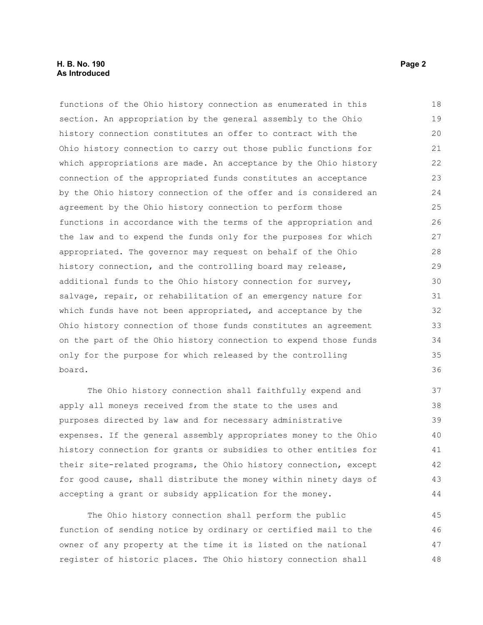### **H. B. No. 190 Page 2 As Introduced**

functions of the Ohio history connection as enumerated in this section. An appropriation by the general assembly to the Ohio history connection constitutes an offer to contract with the Ohio history connection to carry out those public functions for which appropriations are made. An acceptance by the Ohio history connection of the appropriated funds constitutes an acceptance by the Ohio history connection of the offer and is considered an agreement by the Ohio history connection to perform those functions in accordance with the terms of the appropriation and the law and to expend the funds only for the purposes for which appropriated. The governor may request on behalf of the Ohio history connection, and the controlling board may release, additional funds to the Ohio history connection for survey, salvage, repair, or rehabilitation of an emergency nature for which funds have not been appropriated, and acceptance by the Ohio history connection of those funds constitutes an agreement on the part of the Ohio history connection to expend those funds only for the purpose for which released by the controlling board. 18 19  $20$ 21 22 23 24 25 26 27 28 29 30 31 32 33 34 35 36

The Ohio history connection shall faithfully expend and apply all moneys received from the state to the uses and purposes directed by law and for necessary administrative expenses. If the general assembly appropriates money to the Ohio history connection for grants or subsidies to other entities for their site-related programs, the Ohio history connection, except for good cause, shall distribute the money within ninety days of accepting a grant or subsidy application for the money.

The Ohio history connection shall perform the public function of sending notice by ordinary or certified mail to the owner of any property at the time it is listed on the national register of historic places. The Ohio history connection shall 45 46 47 48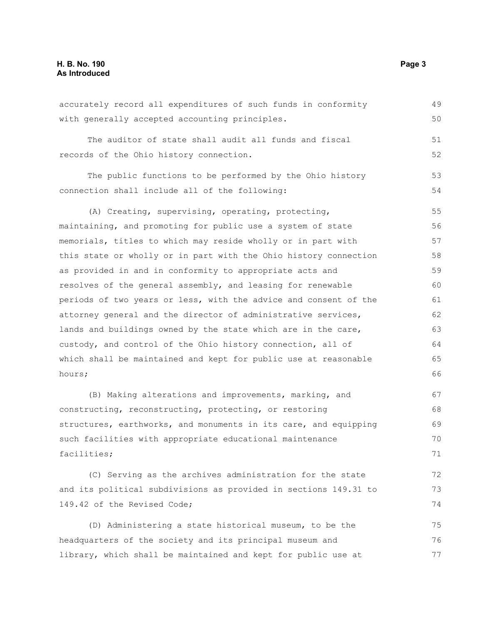### **H. B. No. 190 Page 3 As Introduced**

accurately record all expenditures of such funds in conformity with generally accepted accounting principles. The auditor of state shall audit all funds and fiscal records of the Ohio history connection. The public functions to be performed by the Ohio history connection shall include all of the following: (A) Creating, supervising, operating, protecting, maintaining, and promoting for public use a system of state memorials, titles to which may reside wholly or in part with this state or wholly or in part with the Ohio history connection as provided in and in conformity to appropriate acts and resolves of the general assembly, and leasing for renewable periods of two years or less, with the advice and consent of the attorney general and the director of administrative services, lands and buildings owned by the state which are in the care, custody, and control of the Ohio history connection, all of which shall be maintained and kept for public use at reasonable hours; (B) Making alterations and improvements, marking, and constructing, reconstructing, protecting, or restoring structures, earthworks, and monuments in its care, and equipping such facilities with appropriate educational maintenance facilities; (C) Serving as the archives administration for the state and its political subdivisions as provided in sections 149.31 to 149.42 of the Revised Code; (D) Administering a state historical museum, to be the headquarters of the society and its principal museum and library, which shall be maintained and kept for public use at 49 50 51 52 53 54 55 56 57 58 59 60 61 62 63 64 65 66 67 68 69 70 71 72 73 74 75 76 77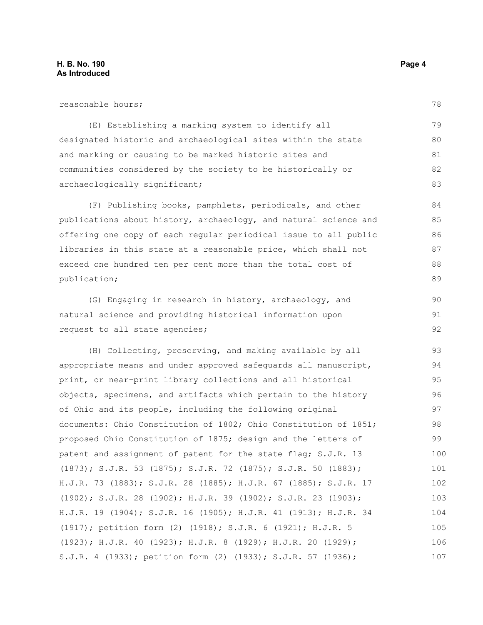| reasonable hours;                                                | 78 |
|------------------------------------------------------------------|----|
| (E) Establishing a marking system to identify all                | 79 |
| designated historic and archaeological sites within the state    | 80 |
| and marking or causing to be marked historic sites and           | 81 |
| communities considered by the society to be historically or      | 82 |
| archaeologically significant;                                    | 83 |
| (F) Publishing books, pamphlets, periodicals, and other          | 84 |
| publications about history, archaeology, and natural science and | 85 |
| offering one copy of each regular periodical issue to all public | 86 |
| libraries in this state at a reasonable price, which shall not   | 87 |
| exceed one hundred ten per cent more than the total cost of      | 88 |
| publication;                                                     | 89 |
| (G) Engaging in research in history, archaeology, and            | 90 |
| natural science and providing historical information upon        | 91 |
| request to all state agencies;                                   | 92 |

(H) Collecting, preserving, and making available by all appropriate means and under approved safeguards all manuscript, print, or near-print library collections and all historical objects, specimens, and artifacts which pertain to the history of Ohio and its people, including the following original documents: Ohio Constitution of 1802; Ohio Constitution of 1851; proposed Ohio Constitution of 1875; design and the letters of patent and assignment of patent for the state flag; S.J.R. 13 (1873); S.J.R. 53 (1875); S.J.R. 72 (1875); S.J.R. 50 (1883); H.J.R. 73 (1883); S.J.R. 28 (1885); H.J.R. 67 (1885); S.J.R. 17 (1902); S.J.R. 28 (1902); H.J.R. 39 (1902); S.J.R. 23 (1903); H.J.R. 19 (1904); S.J.R. 16 (1905); H.J.R. 41 (1913); H.J.R. 34 (1917); petition form (2) (1918); S.J.R. 6 (1921); H.J.R. 5 (1923); H.J.R. 40 (1923); H.J.R. 8 (1929); H.J.R. 20 (1929); S.J.R. 4 (1933); petition form (2) (1933); S.J.R. 57 (1936); 93 94 95 96 97 98 99 100 101 102 103 104 105 106 107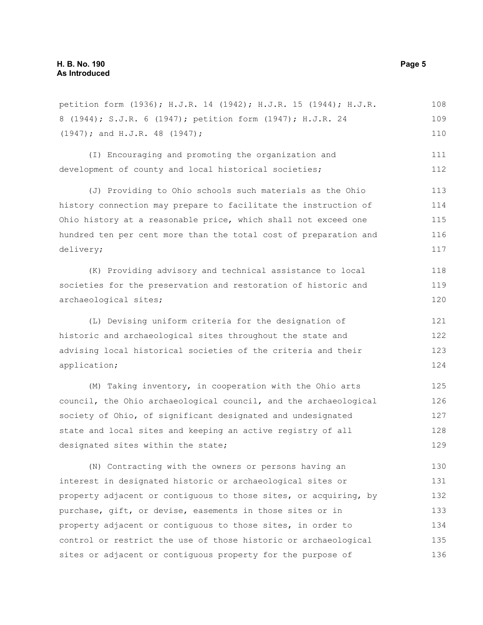petition form (1936); H.J.R. 14 (1942); H.J.R. 15 (1944); H.J.R. 8 (1944); S.J.R. 6 (1947); petition form (1947); H.J.R. 24 (1947); and H.J.R. 48 (1947); (I) Encouraging and promoting the organization and development of county and local historical societies; (J) Providing to Ohio schools such materials as the Ohio history connection may prepare to facilitate the instruction of Ohio history at a reasonable price, which shall not exceed one hundred ten per cent more than the total cost of preparation and delivery; (K) Providing advisory and technical assistance to local societies for the preservation and restoration of historic and archaeological sites; (L) Devising uniform criteria for the designation of historic and archaeological sites throughout the state and advising local historical societies of the criteria and their application; (M) Taking inventory, in cooperation with the Ohio arts council, the Ohio archaeological council, and the archaeological society of Ohio, of significant designated and undesignated state and local sites and keeping an active registry of all designated sites within the state; (N) Contracting with the owners or persons having an 108 109 110 111 112 113 114 115 116 117 118 119 120 121 122 123 124 125 126 127 128 129 130

interest in designated historic or archaeological sites or property adjacent or contiguous to those sites, or acquiring, by purchase, gift, or devise, easements in those sites or in property adjacent or contiguous to those sites, in order to control or restrict the use of those historic or archaeological sites or adjacent or contiguous property for the purpose of 131 132 133 134 135 136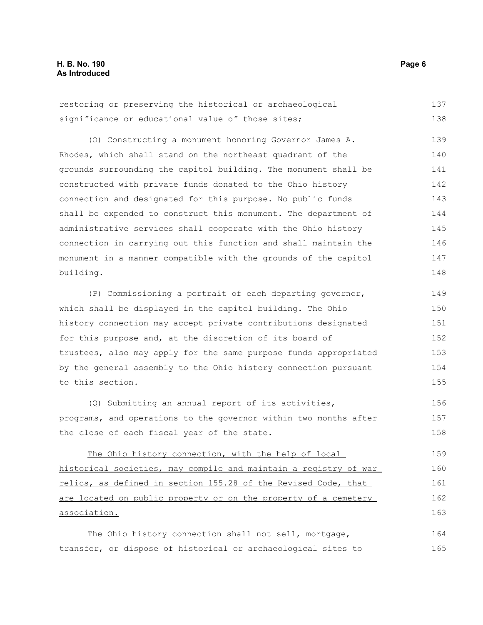|  | restoring or preserving the historical or archaeological | 137 |
|--|----------------------------------------------------------|-----|
|  | significance or educational value of those sites;        | 138 |

(O) Constructing a monument honoring Governor James A. Rhodes, which shall stand on the northeast quadrant of the grounds surrounding the capitol building. The monument shall be constructed with private funds donated to the Ohio history connection and designated for this purpose. No public funds shall be expended to construct this monument. The department of administrative services shall cooperate with the Ohio history connection in carrying out this function and shall maintain the monument in a manner compatible with the grounds of the capitol building. 139 140 141 142 143 144 145 146 147 148

(P) Commissioning a portrait of each departing governor, which shall be displayed in the capitol building. The Ohio history connection may accept private contributions designated for this purpose and, at the discretion of its board of trustees, also may apply for the same purpose funds appropriated by the general assembly to the Ohio history connection pursuant to this section. 149 150 151 152 153 154 155

(Q) Submitting an annual report of its activities, programs, and operations to the governor within two months after the close of each fiscal year of the state. 156 157 158

The Ohio history connection, with the help of local historical societies, may compile and maintain a registry of war relics, as defined in section 155.28 of the Revised Code, that are located on public property or on the property of a cemetery association. 159 160 161 162 163

The Ohio history connection shall not sell, mortgage, transfer, or dispose of historical or archaeological sites to 164 165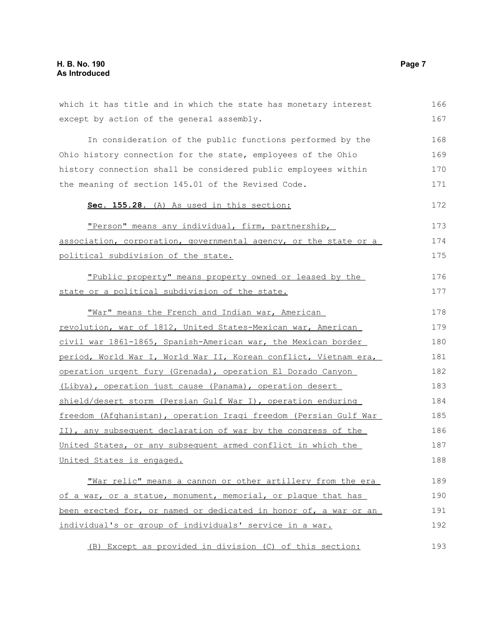| which it has title and in which the state has monetary interest  | 166 |
|------------------------------------------------------------------|-----|
| except by action of the general assembly.                        | 167 |
| In consideration of the public functions performed by the        | 168 |
| Ohio history connection for the state, employees of the Ohio     | 169 |
| history connection shall be considered public employees within   | 170 |
| the meaning of section 145.01 of the Revised Code.               | 171 |
| Sec. 155.28. (A) As used in this section:                        | 172 |
| "Person" means any individual, firm, partnership,                | 173 |
| association, corporation, governmental agency, or the state or a | 174 |
| political subdivision of the state.                              | 175 |
| "Public property" means property owned or leased by the          | 176 |
| state or a political subdivision of the state.                   | 177 |
| "War" means the French and Indian war, American                  | 178 |
| revolution, war of 1812, United States-Mexican war, American     | 179 |
| civil war 1861-1865, Spanish-American war, the Mexican border    | 180 |
| period, World War I, World War II, Korean conflict, Vietnam era, | 181 |
| operation urgent fury (Grenada), operation El Dorado Canyon      | 182 |
| (Libya), operation just cause (Panama), operation desert         | 183 |
| shield/desert storm (Persian Gulf War I), operation enduring     | 184 |
| freedom (Afghanistan), operation Iragi freedom (Persian Gulf War | 185 |
| II), any subsequent declaration of war by the congress of the    | 186 |
| United States, or any subsequent armed conflict in which the     | 187 |
| United States is engaged.                                        | 188 |
| "War relic" means a cannon or other artillery from the era       | 189 |
| of a war, or a statue, monument, memorial, or plaque that has    | 190 |
| been erected for, or named or dedicated in honor of, a war or an | 191 |
| individual's or group of individuals' service in a war.          | 192 |
| (B) Except as provided in division (C) of this section:          | 193 |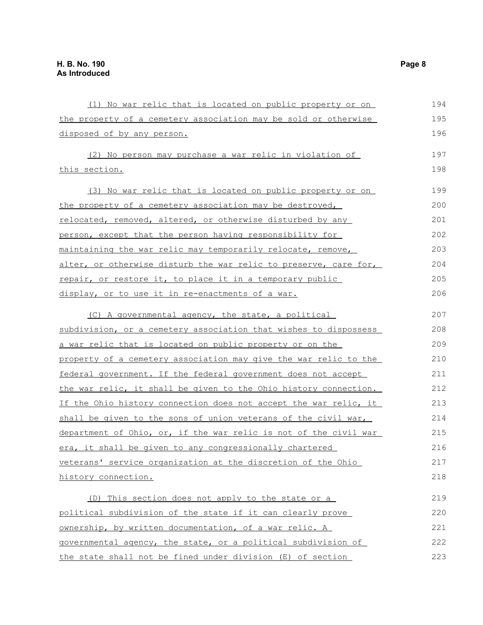| (1) No war relic that is located on public property or on                | 194 |
|--------------------------------------------------------------------------|-----|
| the property of a cemetery association may be sold or otherwise          | 195 |
| disposed of by any person.                                               | 196 |
| (2) No person may purchase a war relic in violation of                   | 197 |
| this section.                                                            | 198 |
| (3) No war relic that is located on public property or on                | 199 |
| <u>the property of a cemetery association may be destroyed,</u>          | 200 |
| relocated, removed, altered, or otherwise disturbed by any               | 201 |
| person, except that the person having responsibility for                 | 202 |
| maintaining the war relic may temporarily relocate, remove,              | 203 |
| alter, or otherwise disturb the war relic to preserve, care for,         | 204 |
| repair, or restore it, to place it in a temporary public                 | 205 |
| display, or to use it in re-enactments of a war.                         | 206 |
| (C) A governmental agency, the state, a political                        | 207 |
| subdivision, or a cemetery association that wishes to dispossess         | 208 |
| a war relic that is located on public property or on the                 | 209 |
| property of a cemetery association may give the war relic to the         | 210 |
| federal government. If the federal government does not accept            | 211 |
| the war relic, it shall be given to the Ohio history connection.         | 212 |
| If the Ohio history connection does not accept the war relic, it         | 213 |
| shall be given to the sons of union veterans of the civil war,           | 214 |
| <u>department of Ohio, or, if the war relic is not of the civil war </u> | 215 |
| era, it shall be given to any congressionally chartered                  | 216 |
| veterans' service organization at the discretion of the Ohio             | 217 |
| history connection.                                                      | 218 |
| (D) This section does not apply to the state or a                        | 219 |
| political subdivision of the state if it can clearly prove               | 220 |
| ownership, by written documentation, of a war relic. A                   | 221 |
| governmental agency, the state, or a political subdivision of            | 222 |
| the state shall not be fined under division (E) of section               | 223 |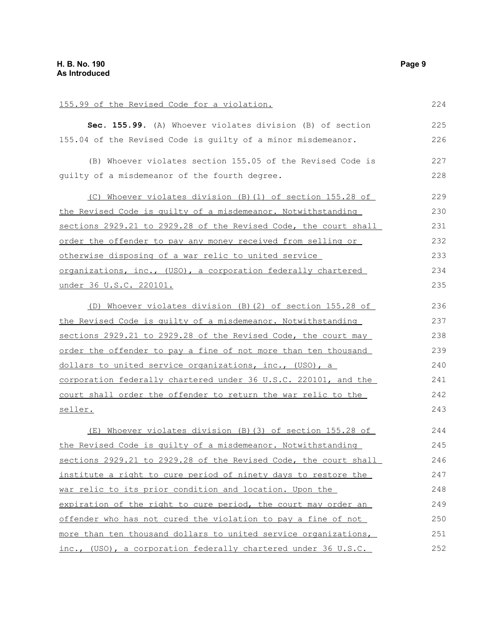| 155.99 of the Revised Code for a violation.                      | 224 |
|------------------------------------------------------------------|-----|
| Sec. 155.99. (A) Whoever violates division (B) of section        | 225 |
| 155.04 of the Revised Code is guilty of a minor misdemeanor.     | 226 |
| (B) Whoever violates section 155.05 of the Revised Code is       | 227 |
| quilty of a misdemeanor of the fourth degree.                    | 228 |
| (C) Whoever violates division (B) (1) of section 155.28 of       | 229 |
| the Revised Code is quilty of a misdemeanor. Notwithstanding     | 230 |
| sections 2929.21 to 2929.28 of the Revised Code, the court shall | 231 |
| order the offender to pay any money received from selling or     | 232 |
| otherwise disposing of a war relic to united service             | 233 |
| organizations, inc., (USO), a corporation federally chartered    | 234 |
| <u>under 36 U.S.C. 220101.</u>                                   | 235 |
| (D) Whoever violates division (B) (2) of section 155.28 of       | 236 |
| the Revised Code is quilty of a misdemeanor. Notwithstanding     | 237 |
| sections 2929.21 to 2929.28 of the Revised Code, the court may   | 238 |
| order the offender to pay a fine of not more than ten thousand   | 239 |
| dollars to united service organizations, inc., (USO), a          | 240 |
| corporation federally chartered under 36 U.S.C. 220101, and the  | 241 |
| court shall order the offender to return the war relic to the    | 242 |
| seller.                                                          | 243 |
| (E) Whoever violates division (B) (3) of section 155.28 of       | 244 |
| the Revised Code is quilty of a misdemeanor. Notwithstanding     | 245 |
| sections 2929.21 to 2929.28 of the Revised Code, the court shall | 246 |
| institute a right to cure period of ninety days to restore the   | 247 |
| war relic to its prior condition and location. Upon the          | 248 |
| expiration of the right to cure period, the court may order an   | 249 |
| offender who has not cured the violation to pay a fine of not    | 250 |
| more than ten thousand dollars to united service organizations,  | 251 |
| inc., (USO), a corporation federally chartered under 36 U.S.C.   | 252 |